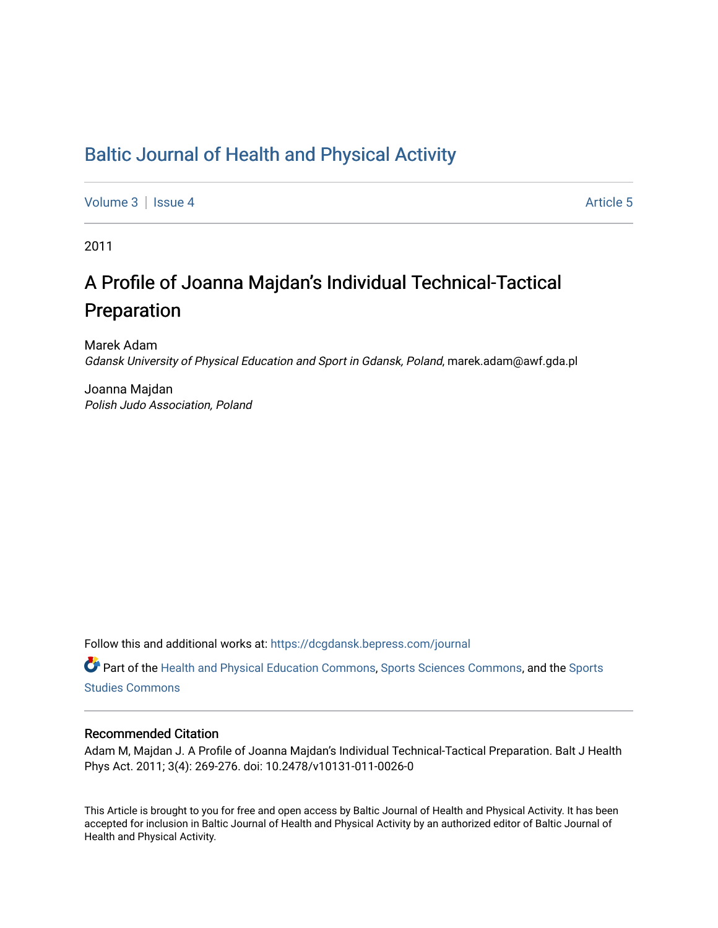# [Baltic Journal of Health and Physical Activity](https://dcgdansk.bepress.com/journal)

[Volume 3](https://dcgdansk.bepress.com/journal/vol3) | [Issue 4](https://dcgdansk.bepress.com/journal/vol3/iss4) Article 5

2011

# A Profile of Joanna Majdan's Individual Technical-Tactical Preparation

Marek Adam Gdansk University of Physical Education and Sport in Gdansk, Poland, marek.adam@awf.gda.pl

Joanna Majdan Polish Judo Association, Poland

Follow this and additional works at: [https://dcgdansk.bepress.com/journal](https://dcgdansk.bepress.com/journal?utm_source=dcgdansk.bepress.com%2Fjournal%2Fvol3%2Fiss4%2F5&utm_medium=PDF&utm_campaign=PDFCoverPages)

Part of the [Health and Physical Education Commons](http://network.bepress.com/hgg/discipline/1327?utm_source=dcgdansk.bepress.com%2Fjournal%2Fvol3%2Fiss4%2F5&utm_medium=PDF&utm_campaign=PDFCoverPages), [Sports Sciences Commons](http://network.bepress.com/hgg/discipline/759?utm_source=dcgdansk.bepress.com%2Fjournal%2Fvol3%2Fiss4%2F5&utm_medium=PDF&utm_campaign=PDFCoverPages), and the [Sports](http://network.bepress.com/hgg/discipline/1198?utm_source=dcgdansk.bepress.com%2Fjournal%2Fvol3%2Fiss4%2F5&utm_medium=PDF&utm_campaign=PDFCoverPages)  [Studies Commons](http://network.bepress.com/hgg/discipline/1198?utm_source=dcgdansk.bepress.com%2Fjournal%2Fvol3%2Fiss4%2F5&utm_medium=PDF&utm_campaign=PDFCoverPages) 

#### Recommended Citation

Adam M, Majdan J. A Profile of Joanna Majdan's Individual Technical-Tactical Preparation. Balt J Health Phys Act. 2011; 3(4): 269-276. doi: 10.2478/v10131-011-0026-0

This Article is brought to you for free and open access by Baltic Journal of Health and Physical Activity. It has been accepted for inclusion in Baltic Journal of Health and Physical Activity by an authorized editor of Baltic Journal of Health and Physical Activity.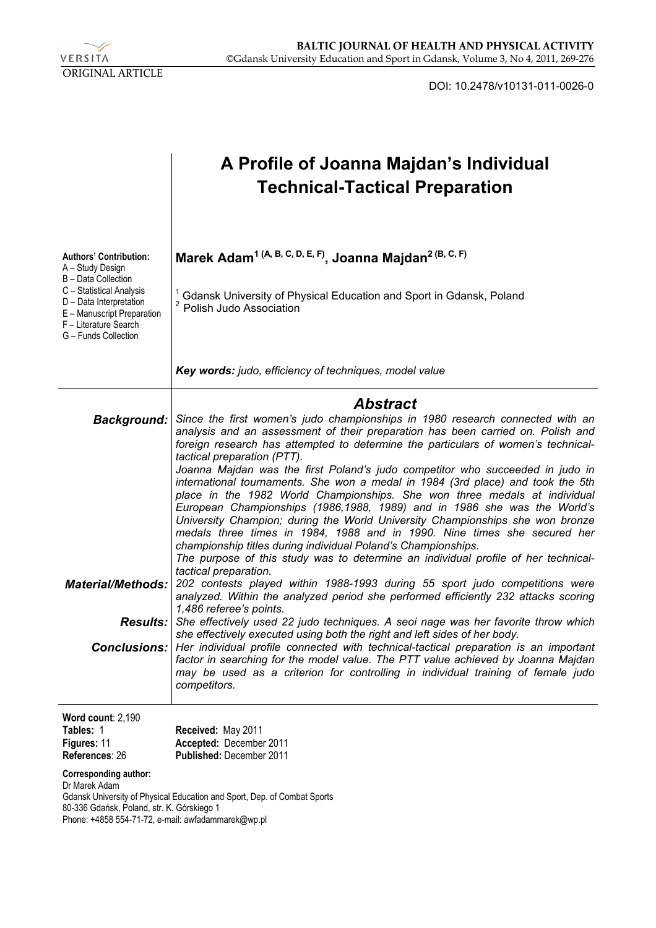

DOI: 10.2478/v10131-011-0026-0

|                                                                                                                                                                                                                | A Profile of Joanna Majdan's Individual<br><b>Technical-Tactical Preparation</b>                                                                                                                                                                                                                                                                                                                                                                                                                                                                                                                                                                                                                                                                                                                                                                                                                                                                                                                                                                                                                                                                                                                                                                                                                                                                                                                                                                                                                                                                    |  |  |  |  |
|----------------------------------------------------------------------------------------------------------------------------------------------------------------------------------------------------------------|-----------------------------------------------------------------------------------------------------------------------------------------------------------------------------------------------------------------------------------------------------------------------------------------------------------------------------------------------------------------------------------------------------------------------------------------------------------------------------------------------------------------------------------------------------------------------------------------------------------------------------------------------------------------------------------------------------------------------------------------------------------------------------------------------------------------------------------------------------------------------------------------------------------------------------------------------------------------------------------------------------------------------------------------------------------------------------------------------------------------------------------------------------------------------------------------------------------------------------------------------------------------------------------------------------------------------------------------------------------------------------------------------------------------------------------------------------------------------------------------------------------------------------------------------------|--|--|--|--|
| <b>Authors' Contribution:</b><br>A - Study Design<br>B - Data Collection<br>C - Statistical Analysis<br>D - Data Interpretation<br>E - Manuscript Preparation<br>F - Literature Search<br>G - Funds Collection | Marek Adam <sup>1 (A, B, C, D, E, F)</sup> , Joanna Majdan <sup>2 (B, C, F)</sup><br>Gdansk University of Physical Education and Sport in Gdansk, Poland<br>Polish Judo Association                                                                                                                                                                                                                                                                                                                                                                                                                                                                                                                                                                                                                                                                                                                                                                                                                                                                                                                                                                                                                                                                                                                                                                                                                                                                                                                                                                 |  |  |  |  |
|                                                                                                                                                                                                                | Key words: judo, efficiency of techniques, model value                                                                                                                                                                                                                                                                                                                                                                                                                                                                                                                                                                                                                                                                                                                                                                                                                                                                                                                                                                                                                                                                                                                                                                                                                                                                                                                                                                                                                                                                                              |  |  |  |  |
| <b>Background:</b><br><b>Material/Methods:</b><br><b>Results:</b>                                                                                                                                              | <b>Abstract</b><br>Since the first women's judo championships in 1980 research connected with an<br>analysis and an assessment of their preparation has been carried on. Polish and<br>foreign research has attempted to determine the particulars of women's technical-<br>tactical preparation (PTT).<br>Joanna Majdan was the first Poland's judo competitor who succeeded in judo in<br>international tournaments. She won a medal in 1984 (3rd place) and took the 5th<br>place in the 1982 World Championships. She won three medals at individual<br>European Championships (1986,1988, 1989) and in 1986 she was the World's<br>University Champion; during the World University Championships she won bronze<br>medals three times in 1984, 1988 and in 1990. Nine times she secured her<br>championship titles during individual Poland's Championships.<br>The purpose of this study was to determine an individual profile of her technical-<br>tactical preparation.<br>202 contests played within 1988-1993 during 55 sport judo competitions were<br>analyzed. Within the analyzed period she performed efficiently 232 attacks scoring<br>1,486 referee's points.<br>She effectively used 22 judo techniques. A seoi nage was her favorite throw which<br>she effectively executed using both the right and left sides of her body.<br><b>Conclusions:</b> Her individual profile connected with technical-tactical preparation is an important<br>factor in searching for the model value. The PTT value achieved by Joanna Majdan |  |  |  |  |
|                                                                                                                                                                                                                | may be used as a criterion for controlling in individual training of female judo<br>competitors.                                                                                                                                                                                                                                                                                                                                                                                                                                                                                                                                                                                                                                                                                                                                                                                                                                                                                                                                                                                                                                                                                                                                                                                                                                                                                                                                                                                                                                                    |  |  |  |  |
| Word count: 2,190<br>Tables: 1<br>Figures: 11<br>References: 26<br><b>Corresponding author:</b><br>Dr Marek Adam                                                                                               | Received: May 2011<br>Accepted: December 2011<br>Published: December 2011<br>Gdansk University of Physical Education and Sport, Dep. of Combat Sports                                                                                                                                                                                                                                                                                                                                                                                                                                                                                                                                                                                                                                                                                                                                                                                                                                                                                                                                                                                                                                                                                                                                                                                                                                                                                                                                                                                               |  |  |  |  |
| 80-336 Gdańsk, Poland, str. K. Górskiego 1<br>Phone: +4858 554-71-72, e-mail: awfadammarek@wp.pl                                                                                                               |                                                                                                                                                                                                                                                                                                                                                                                                                                                                                                                                                                                                                                                                                                                                                                                                                                                                                                                                                                                                                                                                                                                                                                                                                                                                                                                                                                                                                                                                                                                                                     |  |  |  |  |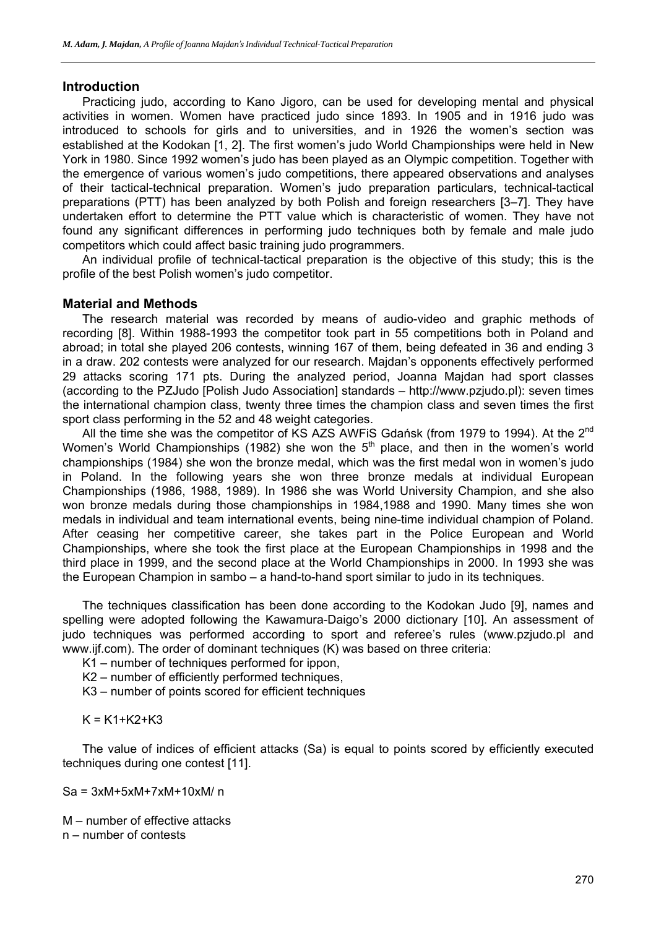#### **Introduction**

Practicing judo, according to Kano Jigoro, can be used for developing mental and physical activities in women. Women have practiced judo since 1893. In 1905 and in 1916 judo was introduced to schools for girls and to universities, and in 1926 the women's section was established at the Kodokan [1, 2]. The first women's judo World Championships were held in New York in 1980. Since 1992 women's judo has been played as an Olympic competition. Together with the emergence of various women's judo competitions, there appeared observations and analyses of their tactical-technical preparation. Women's judo preparation particulars, technical-tactical preparations (PTT) has been analyzed by both Polish and foreign researchers [3–7]. They have undertaken effort to determine the PTT value which is characteristic of women. They have not found any significant differences in performing judo techniques both by female and male judo competitors which could affect basic training judo programmers.

An individual profile of technical-tactical preparation is the objective of this study; this is the profile of the best Polish women's judo competitor.

#### **Material and Methods**

The research material was recorded by means of audio-video and graphic methods of recording [8]. Within 1988-1993 the competitor took part in 55 competitions both in Poland and abroad; in total she played 206 contests, winning 167 of them, being defeated in 36 and ending 3 in a draw. 202 contests were analyzed for our research. Majdan's opponents effectively performed 29 attacks scoring 171 pts. During the analyzed period, Joanna Majdan had sport classes (according to the PZJudo [Polish Judo Association] standards – http://www.pzjudo.pl): seven times the international champion class, twenty three times the champion class and seven times the first sport class performing in the 52 and 48 weight categories.

All the time she was the competitor of KS AZS AWFIS Gdańsk (from 1979 to 1994). At the 2<sup>nd</sup> Women's World Championships (1982) she won the 5<sup>th</sup> place, and then in the women's world championships (1984) she won the bronze medal, which was the first medal won in women's judo in Poland. In the following years she won three bronze medals at individual European Championships (1986, 1988, 1989). In 1986 she was World University Champion, and she also won bronze medals during those championships in 1984,1988 and 1990. Many times she won medals in individual and team international events, being nine-time individual champion of Poland. After ceasing her competitive career, she takes part in the Police European and World Championships, where she took the first place at the European Championships in 1998 and the third place in 1999, and the second place at the World Championships in 2000. In 1993 she was the European Champion in sambo – a hand-to-hand sport similar to judo in its techniques.

The techniques classification has been done according to the Kodokan Judo [9], names and spelling were adopted following the Kawamura-Daigo's 2000 dictionary [10]. An assessment of judo techniques was performed according to sport and referee's rules (www.pzjudo.pl and www.ijf.com). The order of dominant techniques (K) was based on three criteria:

K1 – number of techniques performed for ippon,

K2 – number of efficiently performed techniques,

K3 – number of points scored for efficient techniques

 $K = K1 + K2 + K3$ 

The value of indices of efficient attacks (Sa) is equal to points scored by efficiently executed techniques during one contest [11].

 $Sa = 3xM + 5xM + 7xM + 10xM/n$ 

M – number of effective attacks n – number of contests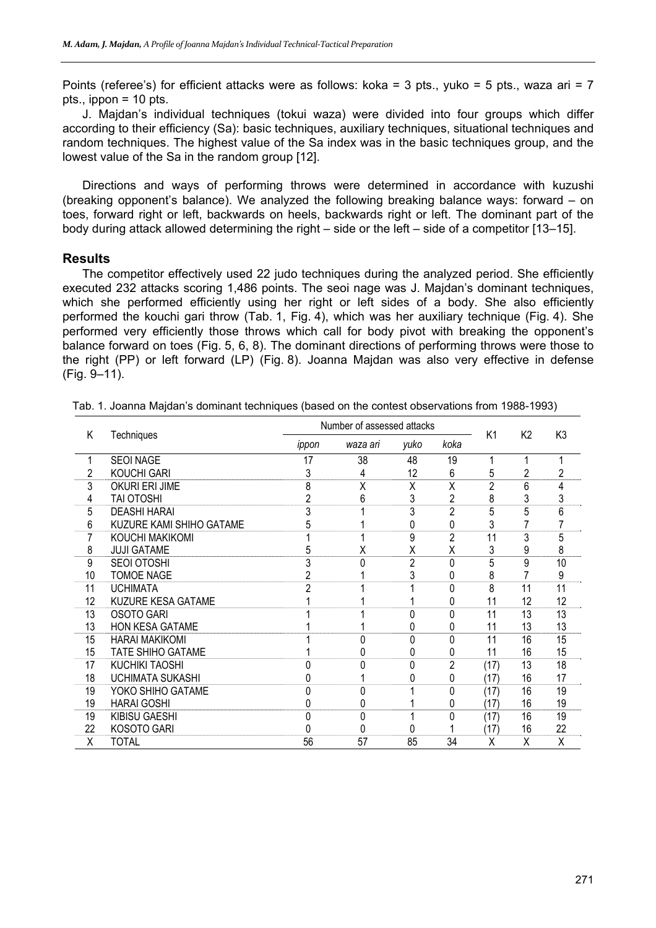Points (referee's) for efficient attacks were as follows: koka = 3 pts., yuko = 5 pts., waza ari = 7 pts., ippon = 10 pts.

J. Majdan's individual techniques (tokui waza) were divided into four groups which differ according to their efficiency (Sa): basic techniques, auxiliary techniques, situational techniques and random techniques. The highest value of the Sa index was in the basic techniques group, and the lowest value of the Sa in the random group [12].

Directions and ways of performing throws were determined in accordance with kuzushi (breaking opponent's balance). We analyzed the following breaking balance ways: forward – on toes, forward right or left, backwards on heels, backwards right or left. The dominant part of the body during attack allowed determining the right – side or the left – side of a competitor [13–15].

#### **Results**

The competitor effectively used 22 judo techniques during the analyzed period. She efficiently executed 232 attacks scoring 1,486 points. The seoi nage was J. Majdan's dominant techniques, which she performed efficiently using her right or left sides of a body. She also efficiently performed the kouchi gari throw (Tab. 1, Fig. 4), which was her auxiliary technique (Fig. 4). She performed very efficiently those throws which call for body pivot with breaking the opponent's balance forward on toes (Fig. 5, 6, 8). The dominant directions of performing throws were those to the right (PP) or left forward (LP) (Fig. 8). Joanna Majdan was also very effective in defense (Fig. 9–11).

| Κ  | Techniques               | Number of assessed attacks |          |                |                | K <sub>1</sub> | K <sub>2</sub> | K3 |
|----|--------------------------|----------------------------|----------|----------------|----------------|----------------|----------------|----|
|    |                          | ippon                      | waza ari | yuko           | koka           |                |                |    |
|    | <b>SEOI NAGE</b>         | 17                         | 38       | 48             | 19             |                |                |    |
| 2  | <b>KOUCHI GARI</b>       | 3                          | 4        | 12             | 6              | 5              | 2              | 2  |
| 3  | OKURI ERI JIME           | 8                          | X        | X              | X              | $\overline{2}$ | 6              | 4  |
| 4  | <b>TAI OTOSHI</b>        |                            | 6        | 3              | $\overline{c}$ | 8              | 3              | 3  |
| 5  | <b>DEASHI HARAI</b>      |                            |          | 3              | $\overline{2}$ | 5              | 5              | 6  |
| 6  | KUZURE KAMI SHIHO GATAME |                            |          | 0              | 0              |                |                |    |
|    | KOUCHI MAKIKOMI          |                            |          | 9              | $\overline{2}$ | 11             | 3              | 5  |
| 8  | <b>JUJI GATAME</b>       | 5                          | X        | Χ              | Χ              | 3              | 9              | 8  |
| 9  | SEOI OTOSHI              |                            | U        | $\overline{2}$ | 0              | 5              | 9              | 10 |
| 10 | <b>TOMOE NAGE</b>        |                            |          | 3              | 0              | 8              |                | 9  |
| 11 | <b>UCHIMATA</b>          |                            |          |                | 0              | 8              | 11             | 11 |
| 12 | KUZURE KESA GATAME       |                            |          |                | 0              | 11             | 12             | 12 |
| 13 | <b>OSOTO GARI</b>        |                            |          | 0              | 0              | 11             | 13             | 13 |
| 13 | <b>HON KESA GATAME</b>   |                            |          | 0              | 0              | 11             | 13             | 13 |
| 15 | <b>HARAI MAKIKOMI</b>    |                            |          | 0              | $\Omega$       | 11             | 16             | 15 |
| 15 | <b>TATE SHIHO GATAME</b> |                            |          | 0              | 0              | 11             | 16             | 15 |
| 17 | <b>KUCHIKI TAOSHI</b>    |                            |          | 0              | $\overline{c}$ | (17)           | 13             | 18 |
| 18 | <b>UCHIMATA SUKASHI</b>  |                            |          | 0              | 0              | (17)           | 16             | 17 |
| 19 | YOKO SHIHO GATAME        |                            |          |                | 0              | (17)           | 16             | 19 |
| 19 | <b>HARAI GOSHI</b>       |                            |          |                | 0              | (17)           | 16             | 19 |
| 19 | KIBISU GAESHI            | ŋ                          | $\Omega$ |                | 0              | (17)           | 16             | 19 |
| 22 | KOSOTO GARI              |                            |          | 0              |                | (17)           | 16             | 22 |
| Χ  | <b>TOTAL</b>             | 56                         | 57       | 85             | 34             | Χ              | Χ              | X  |

Tab. 1. Joanna Majdan's dominant techniques (based on the contest observations from 1988-1993)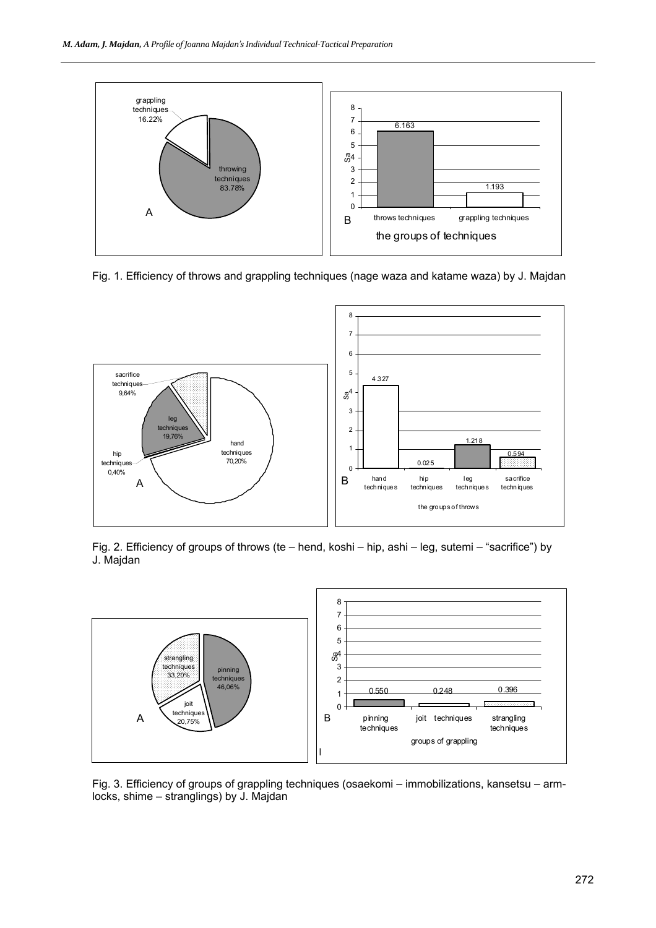

Fig. 1. Efficiency of throws and grappling techniques (nage waza and katame waza) by J. Majdan



Fig. 2. Efficiency of groups of throws (te – hend, koshi – hip, ashi – leg, sutemi – "sacrifice") by J. Majdan



Fig. 3. Efficiency of groups of grappling techniques (osaekomi – immobilizations, kansetsu – armlocks, shime – stranglings) by J. Majdan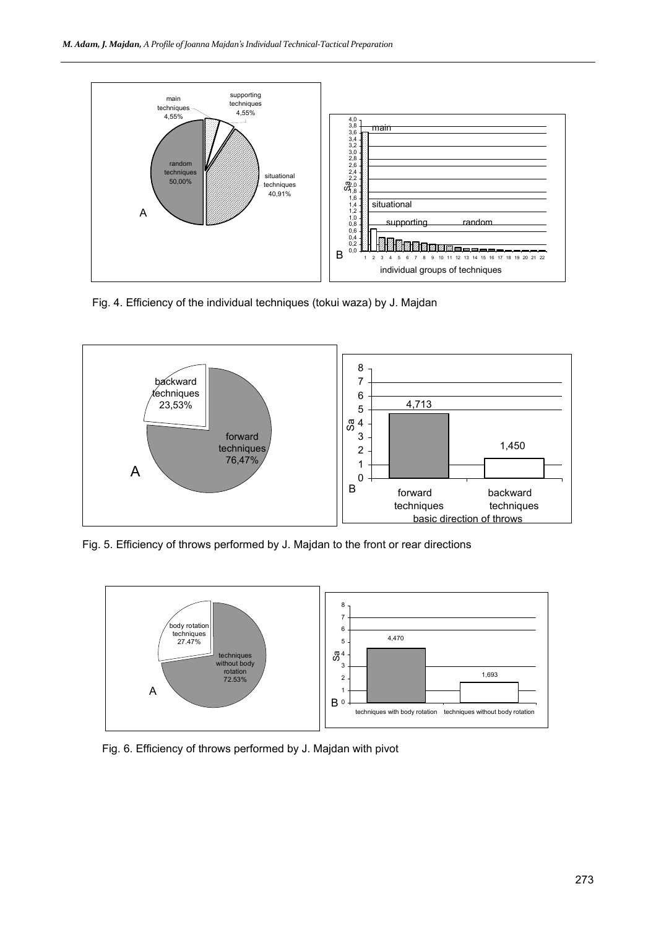

Fig. 4. Efficiency of the individual techniques (tokui waza) by J. Majdan



Fig. 5. Efficiency of throws performed by J. Majdan to the front or rear directions



Fig. 6. Efficiency of throws performed by J. Majdan with pivot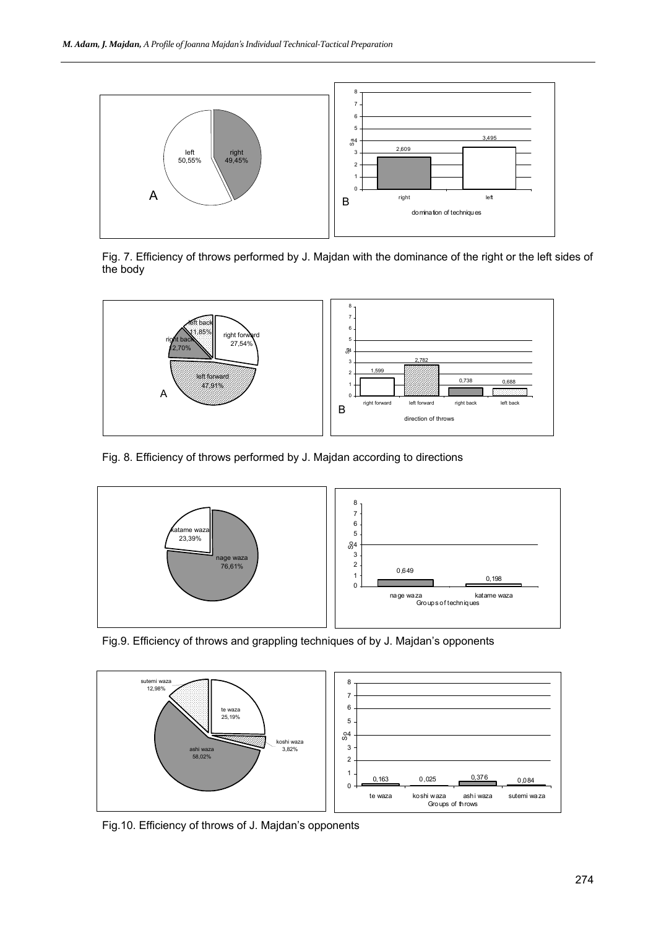

Fig. 7. Efficiency of throws performed by J. Majdan with the dominance of the right or the left sides of the body



Fig. 8. Efficiency of throws performed by J. Majdan according to directions



Fig.9. Efficiency of throws and grappling techniques of by J. Majdan's opponents



Fig.10. Efficiency of throws of J. Majdan's opponents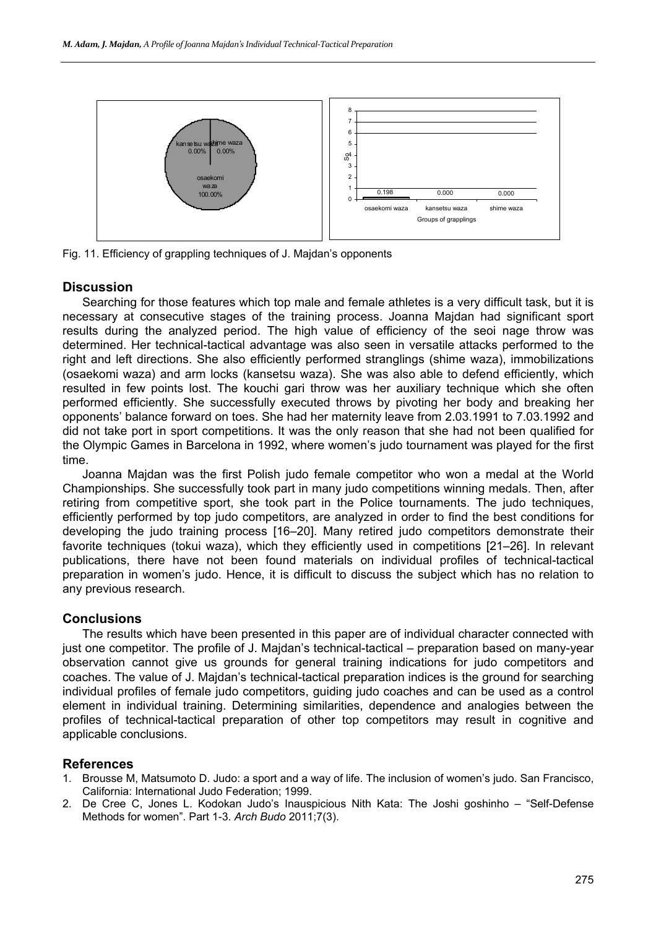

Fig. 11. Efficiency of grappling techniques of J. Majdan's opponents

# **Discussion**

Searching for those features which top male and female athletes is a very difficult task, but it is necessary at consecutive stages of the training process. Joanna Majdan had significant sport results during the analyzed period. The high value of efficiency of the seoi nage throw was determined. Her technical-tactical advantage was also seen in versatile attacks performed to the right and left directions. She also efficiently performed stranglings (shime waza), immobilizations (osaekomi waza) and arm locks (kansetsu waza). She was also able to defend efficiently, which resulted in few points lost. The kouchi gari throw was her auxiliary technique which she often performed efficiently. She successfully executed throws by pivoting her body and breaking her opponents' balance forward on toes. She had her maternity leave from 2.03.1991 to 7.03.1992 and did not take port in sport competitions. It was the only reason that she had not been qualified for the Olympic Games in Barcelona in 1992, where women's judo tournament was played for the first time.

Joanna Majdan was the first Polish judo female competitor who won a medal at the World Championships. She successfully took part in many judo competitions winning medals. Then, after retiring from competitive sport, she took part in the Police tournaments. The judo techniques, efficiently performed by top judo competitors, are analyzed in order to find the best conditions for developing the judo training process [16–20]. Many retired judo competitors demonstrate their favorite techniques (tokui waza), which they efficiently used in competitions [21–26]. In relevant publications, there have not been found materials on individual profiles of technical-tactical preparation in women's judo. Hence, it is difficult to discuss the subject which has no relation to any previous research.

# **Conclusions**

The results which have been presented in this paper are of individual character connected with just one competitor. The profile of J. Majdan's technical-tactical – preparation based on many-year observation cannot give us grounds for general training indications for judo competitors and coaches. The value of J. Majdan's technical-tactical preparation indices is the ground for searching individual profiles of female judo competitors, guiding judo coaches and can be used as a control element in individual training. Determining similarities, dependence and analogies between the profiles of technical-tactical preparation of other top competitors may result in cognitive and applicable conclusions.

# **References**

- 1. Brousse M, Matsumoto D. Judo: a sport and a way of life. The inclusion of women's judo. San Francisco, California: International Judo Federation; 1999.
- 2. De Cree C, Jones L. Kodokan Judo's Inauspicious Nith Kata: The Joshi goshinho "Self-Defense Methods for women". Part 1-3. *Arch Budo* 2011;7(3).